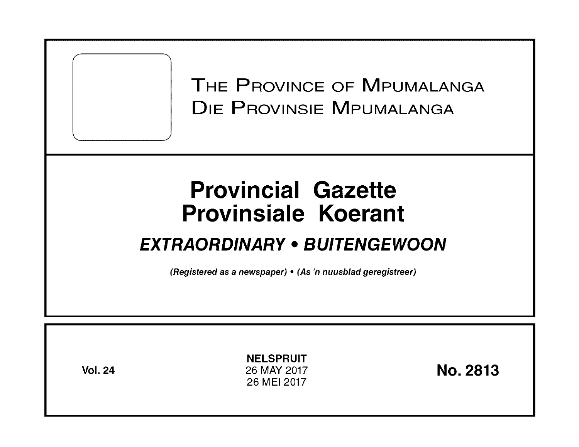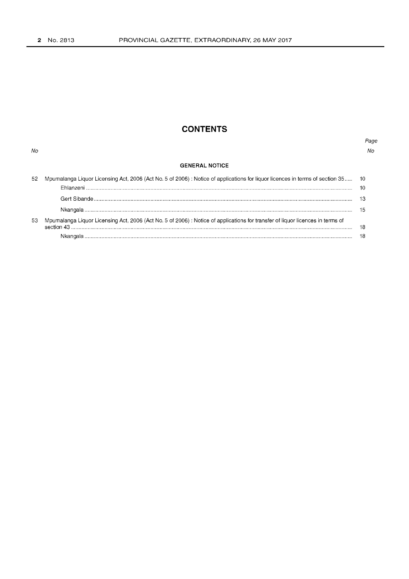No

# **CONTENTS**

## Page  $N_O$

## **GENERAL NOTICE**

| 52 | Mpumalanga Liquor Licensing Act, 2006 (Act No. 5 of 2006): Notice of applications for liquor licences in terms of section 35 10 |    |
|----|---------------------------------------------------------------------------------------------------------------------------------|----|
|    |                                                                                                                                 |    |
|    |                                                                                                                                 |    |
|    |                                                                                                                                 |    |
| 53 | Mpumalanga Liquor Licensing Act, 2006 (Act No. 5 of 2006) : Notice of applications for transfer of liquor licences in terms of  |    |
|    |                                                                                                                                 | 18 |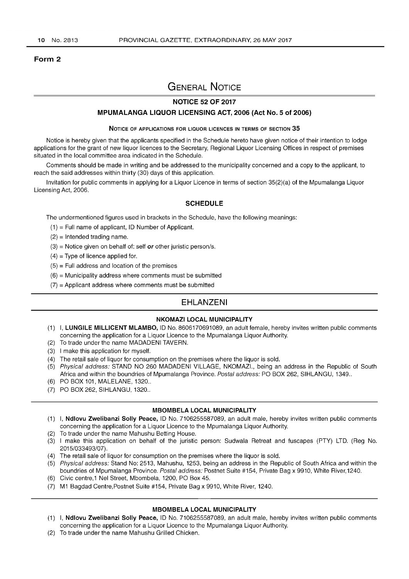## Form 2

# GENERAL NOTICE

## NOTICE 52 OF 2017

## MPUMALANGA LIQUOR LICENSING ACT, 2006 (Act No.5 of 2006)

#### NOTICE OF APPLICATIONS FOR LIQUOR LICENCES IN TERMS OF SECTION 35

Notice is hereby given that the applicants specified in the Schedule hereto have given notice of their intention to lodge applications for the grant of new liquor licences to the Secretary, Regional Liquor Licensing Offices in respect of premises situated in the local committee area indicated in the Schedule.

Comments should be made in writing and be addressed to the municipality concerned and a copy to the applicant, to reach the said addresses within thirty (30) days of this application.

Invitation for public comments in applying for a Liquor Licence in terms of section 35(2)(a) of the Mpumalanga Liquor Licensing Act, 2006.

## **SCHEDULE**

The undermentioned figures used in brackets in the Schedule, have the following meanings:

- $(1)$  = Full name of applicant, ID Number of Applicant.
- $(2)$  = Intended trading name.
- $(3)$  = Notice given on behalf of: self or other juristic person/s.
- $(4)$  = Type of licence applied for.
- $(5)$  = Full address and location of the premises
- $(6)$  = Municipality address where comments must be submitted
- $(7)$  = Applicant address where comments must be submitted

## EHLANZENI

### NKOMAZI LOCAL MUNICIPALITY

- (1) I, LUNGILE MILLICENT MLAMBO, ID No. 8606170691089, an adult female, hereby invites written public comments concerning the application for a Liquor Licence to the Mpumalanga Liquor Authority.
- (2) To trade under the name MADADENI TAVERN.
- (3) I make this application for myself.
- (4) The retail sale of liquor for consumption on the premises where the liquor is sold.
- (5) Physical address: STAND NO 260 MADADENI VILLAGE, NKOMAZI., being an address in the Republic of South Africa and within the boundries of Mpumalanga Province. Postal address: PO BOX 262, SIHLANGU, 1349..
- (6) PO BOX 101, MALELANE, 1320 ..
- (7) PO BOX 262, SIHLANGU, 1320 ..

#### MBOMBELA LOCAL MUNICIPALITY

- (1) I, Ndlovu Zwelibanzi Solly Peace, ID No. 7106255587089, an adult male, hereby invites written public comments concerning the application for a Liquor Licence to the Mpumalanga Liquor Authority.
- (2) To trade under the name Mahushu Betting House.
- (3) I make this application on behalf of the juristic person: Sudwala Retreat and fuscapes (PTY) LTD. (Reg No. 2015/033493/07) .
- (4) The retail sale of liquor for consumption on the premises where the liquor is sold.
- (5) Physical address: Stand No: 2513, Mahushu, 1253, being an address in the Republic of South Africa and within the boundries of Mpumalanga Province. Postal address: Postnet Suite #154, Private Bag x 9910, White River,1240.
- (6) Civic centre,1 Nel Street, Mbombela, 1200, PO Box 45.
- (7) M1 Bagdad Centre,Postnet Suite #154, Private Bag x 9910, White River, 1240.

#### MBOMBELA LOCAL MUNICIPALITY

- (1) I, Ndlovu Zwelibanzi Solly Peace, ID No. 7106255587089, an adult male, hereby invites written public comments concerning the application for a Liquor Licence to the Mpumalanga Liquor Authority.
- (2) To trade under the name Mahushu Grilled Chicken.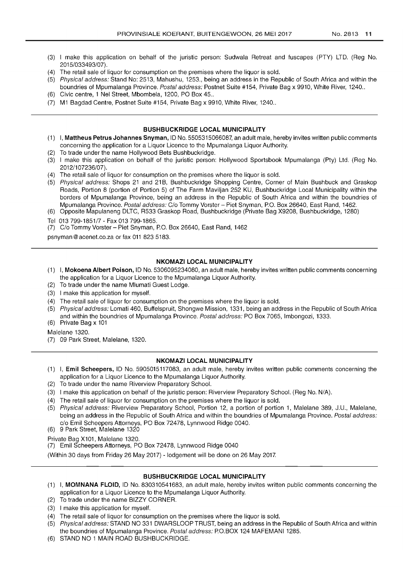- (3) I make this application on behalf of the juristic person: Sudwala Retreat and fuscapes (PTY) LTD. (Reg No. 2015/033493/07) .
- (4) The retail sale of liquor for consumption on the premises where the liquor is sold.
- (5) Physical address: Stand No: 2513, Mahushu, 1253., being an address in the Republic of South Africa and within the boundries of Mpumalanga Province. Postal address: Postnet Suite #154, Private Bag x 9910, White River, 1240..
- (6) Civic centre, 1 Nel Street, Mbombela, 1200, PO Box 45 ..
- (7) M1 Bagdad Centre, Postnet Suite #154, Private Bag x 9910, White River, 1240 ..

## **BUSHBUCKRIDGE** LOCAL MUNICIPALITY

- (1) I, Mattheus Petrus Johannes Snyman, 10 No. 5505315066087, an adult male, hereby invites written public comments concerning the application for a Liquor Licence to the Mpumalanga Liquor Authority.
- (2) To trade under the name Hollywood Bets Bushbuckridge.
- (3) I make this application on behalf of the juristic person: Hollywood Sportsbook Mpumalanga (Pty) Ltd. (Reg No. 2012/107236/07).
- (4) The retail sale of liquor for consumption on the premises where the liquor is sold.
- (5) Physical address: Shops 21 and 21B, Bushbuckridge Shopping Centre, Corner of Main Bushbuck and Graskop Roads, Portion 8 (portion of Portion 5) of The Farm Maviljan 252 KU, Bushbuckridge Local Municipality within the borders of Mpumalanga Province, being an address in the Republic of South Africa and within the boundries of Mpumalanga Province. Postal address: C/o Tommy Vorster - Piet Snyman, P.O. Box 26640, East Rand, 1462.
- (6) Opposite Mapulaneng DLTC, R533 Graskop Road, Bushbuckridge (Private Bag X9208, Bushbuckridge, 1280)
- Tel 013 799-1851/7 Fax 013 799-1865.
- (7) C/o Tommy Vorster Piet Snyman, P.O. Box 26640, East Rand, 1462

psnyman@acenet.co.za or fax 011 823 5183.

## **NKOMAZI** LOCAL MUNICIPALITY

- (1) I, Mokoena Albert Poison, 10 No. 5306095234080, an adult male, hereby invites written public comments concerning the application for a Liquor Licence to the Mpumalanga Liquor Authority.
- (2) To trade under the name Mlumati Guest Lodge.
- (3) I make this application for myself.
- (4) The retail sale of liquor for consumption on the premises where the liquor is sold.
- (5) Physical address: Lomati 460, Buffelspruit, Shongwe Mission, 1331, being an address in the Republic of South Africa and within the boundries of Mpumalanga Province. Postal address: PO Box 7065, Imbongozi, 1333.
- (6) Private Bag x 101

Malelane 1320.

(7) 09 Park Street, Malelane, 1320.

## **NKOMAZI LOCAL** MUNICIPALITY

- (1) I, Emil Scheepers, 10 No. 5905015117083, an adult male, hereby invites written public comments concerning the application for a Liquor Licence to the Mpumalanga Liquor Authority.
- (2) To trade under the name Riverview Preparatory School.
- (3) I make this application on behalf of the juristic person: Riverview Preparatory School. (Reg No. N/A).
- (4) The retail sale of liquor for consumption on the premises where the liquor is sold.
- (5) Physical address: Riverview Preparatory School, Portion 12, a portion of portion 1, Malelane 389, J.U., Malelane, being an address in the Republic of South Africa and within the boundries of Mpumalanga Province. Postal address: c/o Emil Scheepers Attorneys, PO Box 72478, Lynnwood Ridge 0040.
- (6) 9 Park Street, Malelane 1320

Private Bag X101, Malelane 1320.

(7) Emil Scheepers Attorneys, PO Box 72478, Lynnwood Ridge 0040

(Within 30 days from Friday 26 May 2017) - lodgement will be done on 26 May 2017.

## **BUSHBUCKRIDGE LOCAL** MUNICIPALITY

- (1) I, **MOMNANA** FLOID, 10 No. 830310541683, an adult male, hereby invites written public comments concerning the application for a Liquor Licence to the Mpumalanga Liquor Authority.
- (2) To trade under the name BIZZY CORNER.
- (3) I make this application for myself.
- (4) The retail sale of liquor for consumption on the premises where the liquor is sold.
- (5) Physical address: STAND NO 331 DWARSLOOP TRUST, being an address in the Republic of South Africa and within the boundries of Mpumalanga Province. Postal address: P.O. BOX 124 MAFEMANI 1285.
- (6) STAND NO 1 MAIN ROAD BUSHBUCKRIDGE.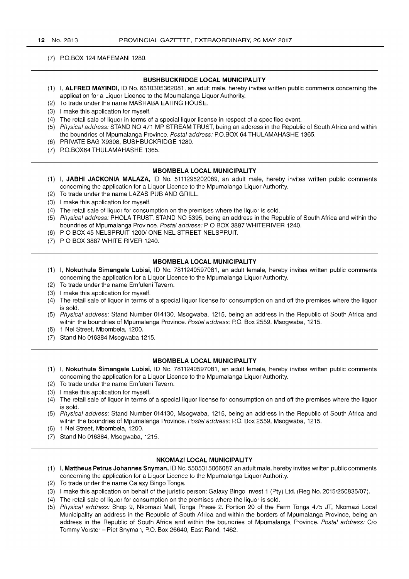## (7) P.O.BOX 124 MAFEMANI 1280.

## BUSHBUCKRIDGE LOCAL MUNICIPALITY

- (1) I, ALFRED MAYINDI, ID No. 6510305362081, an adult male, hereby invites written public comments concerning the application for a Liquor Licence to the Mpumalanga Liquor Authority.
- (2) To trade under the name MASHABA EATING HOUSE.
- (3) I make this application for myself.
- (4) The retail sale of liquor in terms of a special liquor license in respect of a specified event.
- (5) Physical address: STAND NO 471 MP STREAM TRUST, being an address in the Republic of South Africa and within the boundries of Mpumalanga Province. Postal address: P.O.BOX 64 THULAMAHASHE 1365.
- (6) PRIVATE BAG X9308, BUSHBUCKRIDGE 1280.
- (7) P.O. BOX64 THULAMAHASHE 1365.

#### MBOMBELA LOCAL MUNICIPALITY

- (1) I, JABHI JACKONIA MALAZA, ID No. 5111295202089, an adult male, hereby invites written public comments concerning the application for a Liquor Licence to the Mpumalanga Liquor Authority.
- (2) To trade under the name LAZAS PUB AND GRILL.
- (3) I make this application for myself.
- (4) The retail sale of liquor for consumption on the premises where the liquor is sold.
- (5) Physical address: PHOLA TRUST, STAND NO 5395, being an address in the Republic of South Africa and within the boundries of Mpumalanga Province. Postal address: P O BOX 3887 WHITERIVER 1240.
- (6) POBOX 45 NELSPRUIT 12001 ONE NEL STREET NELSPRUIT.
- (7) POBOX 3887 WHITE RIVER 1240.

## MBOMBELA LOCAL MUNICIPALITY

- (1) I, Nokuthula Simangele Lubisi, ID No. 7811240597081, an adult female, hereby invites written public comments concerning the application for a Liquor Licence to the Mpumalanga Liquor Authority.
- (2) To trade under the name Emfuleni Tavern.
- (3) I make this application for myself.
- (4) The retail sale of liquor in terms of a special liquor license for consumption on and off the premises where the liquor is sold.
- (5) Physical address: Stand Number 014130, Msogwaba, 1215, being an address in the Republic of South Africa and within the boundries of Mpumalanga Province. Postal address: P.O. Box 2559, Msogwaba, 1215.
- (6) 1 Nel Street, Mbombela, 1200.
- (7) Stand No 016384 Msogwaba 1215.

#### MBOMBELA LOCAL MUNICIPALITY

- (1) I, Nokuthula Simangele Lubisi, ID No. 7811240597081, an adult female, hereby invites written public comments concerning the application for a Liquor Licence to the Mpumalanga Liquor Authority.
- (2) To trade under the name Emfuleni Tavern.
- (3) I make this application for myself.
- (4) The retail sale of liquor in terms of a special liquor license for consumption on and off the premises where the liquor is sold.
- (5) Physical address: Stand Number 014130, Msogwaba, 1215, being an address in the Republic of South Africa and within the boundries of Mpumalanga Province. Postal address: P.O. Box 2559, Msogwaba, 1215.
- (6) 1 Nel Street, Mbombela, 1200.
- (7) Stand No 016384, Msogwaba, 1215.

## NKOMAZI LOCAL MUNICIPALITY

- (1) I, Mattheus Petrus Johannes Snyman, ID No. 5505315066087, an adult male, hereby invites written public comments concerning the application for a Liquor Licence to the Mpumalanga Liquor Authority.
- (2) To trade under the name Galaxy Bingo Tonga.
- (3) I make this application on behalf of the juristic person: Galaxy Bingo Invest 1 (Pty) Ltd. (Reg No. 2015/250835/07).
- (4) The retail sale of liquor for consumption on the premises where the liquor is sold.
- (5) Physical address: Shop 9, Nkomazi Mall, Tonga Phase 2. Portion 20 of the Farm Tonga 475 JT, Nkomazi Local Municipality an address in the Republic of South Africa and within the borders of Mpumalanga Province, being an address in the Republic of South Africa and within the boundries of Mpumalanga Province. Postal address: Clo Tommy Vorster - Piet Snyman, P.O. Box 26640, East Rand, 1462.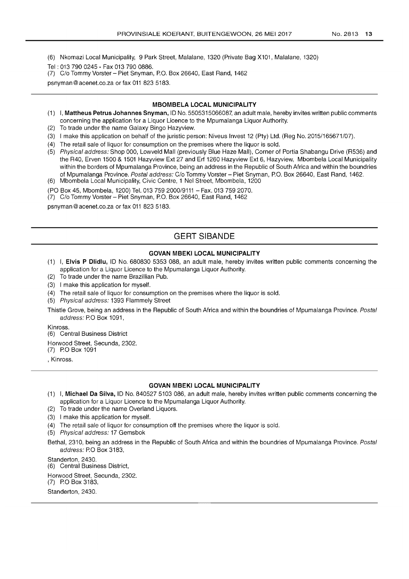(6) Nkomazi Local Municipality, 9 Park Street, Malalane, 1320 (Private Bag X101, Malalane, 1320)

- Tel: 013 790 0245 Fax 013 790 0886.
- (7) C/o Tommy Vorster Piet Snyman, P.O. Box 26640, East Rand, 1462

psnyman@acenet.co.za or fax 011 823 5183.

#### MBOMBELA LOCAL MUNICIPALITY

- (1) I, Mattheus Petrus Johannes Snyman, ID No. 5505315066087, an adult male, hereby invites written public comments concerning the application for a Liquor Licence to the Mpumalanga Liquor Authority.
- (2) To trade under the name Galaxy Bingo Hazyview.
- (3) I make this application on behalf of the juristic person: Niveus Invest 12 (Pty) Ltd. (Reg No. 2015/165671/07).
- (4) The retail sale of liquor for consumption on the premises where the liquor is sold.
- (5) Physical address: Shop 000, Lowveld Mall (previously Blue Haze Mall), Corner of Portia Shabangu Drive (R536) and the R40, Erven 1500 & 1501 Hazyview Ext 27 and Erf 1260 Hazyview Ext 6, Hazyview, Mbombela Local Municipality within the borders of Mpumalanga Province, being an address in the Republic of South Africa and within the boundries of Mpumalanga Province. Postal address: C/o Tommy Vorster - Piet Snyman, P.O. Box 26640, East Rand, 1462. (6) Mbombela Local Municipality, Civic Centre, 1 Nel Street, Mbombela, 1200
- (PO Box 45, Mbombela, 1200) Tel. 013 759 2000/9111 Fax. 013 759 2070.
- (7) Clo Tommy Vorster Piet Snyman, PO. Box 26640, East Rand, 1462

psnyman@acenet.co.za or fax 011 823 5183.

## GERT SIBANDE

## GOVAN MBEKI LOCAL MUNICIPALITY

- (1) I, Elvis P Dlidlu, ID No. 680830 5353 088, an adult male, hereby invites written public comments concerning the application for a Liquor Licence to the Mpumalanga Liquor Authority.
- (2) To trade under the name Brazillian Pub.
- (3) I make this application for myself.
- (4) The retail sale of liquor for consumption on the premises where the liquor is sold.
- (5) Physical address: 1393 Flammely Street
- Thistle Grove, being an address in the Republic of South Africa and within the boundries of Mpumalanga Province. Postal address: P.O Box 1091,

Kinross.

(6) Central Business District

Horwood Street, Secunda, 2302.

(7) PO Box 1091

, Kinross.

#### GOVAN MBEKI LOCAL MUNICIPALITY

- (1) I, Michael Da Silva, ID No. 840527 5103086, an adult male, hereby invites written public comments concerning the application for a Liquor Licence to the Mpumalanga Liquor Authority.
- (2) To trade under the name Overland Liquors.
- (3) I make this application for myself.
- (4) The retail sale of liquor for consumption off the premises where the liquor is sold.
- (5) Physical address: 17 Gemsbok
- Bethal, 2310, being an address in the Republic of South Africa and within the boundries of Mpumalanga Province. Postal address: P.O Box 3183,

Standerton, 2430. (6) Central Business District, Horwood Street, Secunda, 2302. (7) PO Box 3183, Standerton, 2430.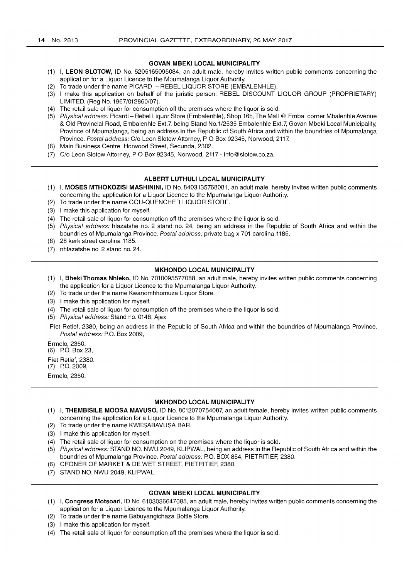## **GOVAN MBEKI LOCAL MUNICIPALITY**

- (1) I, **LEON SLOTOW,** ID No. 5205165095084, an adult male, hereby invites written public comments concerning the application for a Liquor Licence to the Mpumalanga Liquor Authority.
- (2) To trade under the name PICARDI REBEL LIQUOR STORE (EMBALENHLE).
- (3) I make this application on behalf of the juristic person: REBEL DISCOUNT LIQUOR GROUP (PROPRIETARY) LIMITED. (Reg No. 1967/012860/07).
- (4) The retail sale of liquor for consumption off the premises where the liquor is sold.
- (5) Physical address: Picardi Rebel Liquor Store (Embalenhle), Shop 16b, The Mall @ Emba, corner Mbalenhle Avenue & Old Provincial Road, Embalenhle Ext. 7, being Stand No.1/2535 Embalenhle Ext.7, Govan Mbeki Local Municipality, Province of Mpumalanga, being an address in the Republic of South Africa and within the boundries of Mpumalanga Province. Postal address: C/o Leon Slotow Attorney, P O Box 92345, Norwood, 2117.
- (6) Main Business Centre, Horwood Street, Secunda, 2302.
- (7) Clo Leon Siotow Attorney, POBox 92345, Norwood, 2117 info@slotow.co.za.

#### **ALBERT LUTHULI LOCAL MUNICIPALITY**

- (1) I, **MOSES MTHOKOZISI MASHININI,** ID No. 8403135768081, an adult male, hereby invites written public comments concerning the application for a Liquor Licence to the Mpumalanga Liquor Authority.
- (2) To trade under the name GOU-QUENCHER LIQUOR STORE.
- (3) I make this application for myself.
- (4) The retail sale of liquor for consumption off the premises where the liquor is sold.
- (5) Physical address: hlazatshe no. 2 stand no. 24, being an address in the Republic of South Africa and within the boundries of Mpumalanga Province. Postal address: private bag x 701 carolina 1185.
- (6) 28 kerk street carolina 1185.
- (7) nhlazatshe no. 2 stand no. 24.

#### **MKHONDO LOCAL MUNICIPALITY**

- (1) I, **Bheki Thomas Nhleko,** ID No. 7010095577088, an adult male, hereby invites written public comments concerning the application for a Liquor Licence to the Mpumalanga Liquor Authority.
- (2) To trade under the name Kwanomhhomuza Liquor Store.
- (3) I make this application for myself.
- (4) The retail sale of liquor for consumption off the premises where the liquor is sold.
- (5) Physical address: Stand no. 0148, Ajax

Piet Retief, 2380, being an address in the Republic of South Africa and within the boundries of Mpumalanga Province. Postal address: P.O. Box 2009,

Ermelo, 2350.

(6) P.O. Box 23,

Piet Retief, 2380.

(7) P.O. 2009,

Ermelo, 2350.

## **MKHONDO LOCAL MUNICIPALITY**

- (1) I, **THEMBISILE MOOSA MAVUSO,** ID No. 8012070754087, an adult female, hereby invites written public comments concerning the application for a Liquor Licence to the Mpumalanga Liquor Authority.
- (2) To trade under the name KWESABAVUSA BAR.
- (3) I make this application for myself.
- (4) The retail sale of liquor for consumption on the premises where the liquor is sold.
- (5) Physical address: STAND NO. NWU 2049, KLiPWAL, being an address in the Republic of South Africa and within the boundries of Mpumalanga Province. Postal address: P.O. BOX 854, PIETRITIEF, 2380.
- (6) CRONER OF MARKET & DE WET STREET, PIETRITIEF, 2380.
- (7) STAND NO. NWU 2049, KLiPWAL.

## **GOVAN MBEKI LOCAL MUNICIPALITY**

- (1) I, **Congress Motsoari,** ID No. 6103036647085, an adult male, hereby invites written public comments concerning the application for a Liquor Licence to the Mpumalanga Liquor Authority.
- (2) To trade under the name Babuyangichaza Bottle Store.
- (3) I make this application for myself.
- (4) The retail sale of liquor for consumption off the premises where the liquor is sold.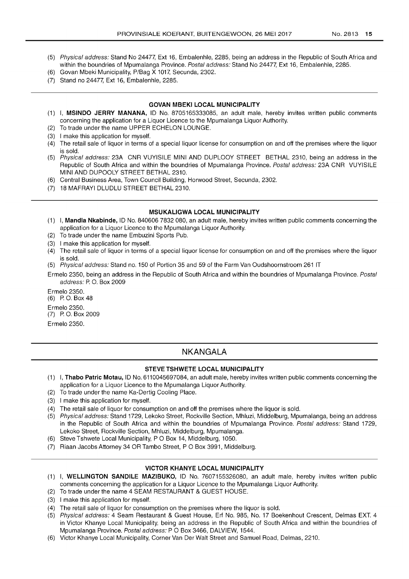- (5) Physical address: Stand No 24477, Ext 16, Embalenhle, 2285, being an address in the Republic of South Africa and within the boundries of Mpumalanga Province. Postal address: Stand No 24477, Ext 16, Embalenhle, 2285.
- (6) Govan Mbeki Municipality, P/Bag X 1017, Secunda, 2302.
- (7) Stand no 24477, Ext 16, Embalenhle, 2285.

## **GOVAN MBEKI LOCAL MUNICIPALITY**

- (1) I, **MSINDO JERRY MANANA,** ID No. 8705165333085, an adult male, hereby invites written public comments concerning the application for a Liquor Licence to the Mpumalanga Liquor Authority.
- (2) To trade under the name UPPER ECHELON LOUNGE.
- (3) I make this application for myself.
- (4) The retail sale of liquor in terms of a special liquor license for consumption on and off the premises where the liquor is sold.
- (5) Physical address: 23A CNR VUYISILE MINI AND DUPLOOY STREET BETHAL 2310, being an address in the Republic of South Africa and within the boundries of Mpumalanga Province. Postal address: 23A CNR VUYISILE MINI AND DUPOOLY STREET BETHAL 2310.
- (6) Central Business Area, Town Council Building, Horwood Street, Secunda, 2302.
- (7) 18 MAFRAYI DLUDLU STREET BETHAL 2310.

## **MSUKALIGWA LOCAL MUNICIPALITY**

- (1) I, **Mandla Nkabinde,** ID No. 840606 7832 080, an adult male, hereby invites written public comments concerning the application for a Liquor Licence to the Mpumalanga Liquor Authority.
- (2) To trade under the name Embuzini Sports Pub.
- (3) I make this application for myself.
- (4) The retail sale of liquor in terms of a special liquor license for consumption on and off the premises where the liquor is sold.
- (5) Physical address: Stand no. 150 of Portion 35 and 59 of the Farm Van Oudshoornstroom 261 **IT**
- Ermelo 2350, being an address in the Republic of South Africa and within the boundries of Mpumalanga Province. Postal address: P. O. Box 2009

Ermelo 2350. (6) P. O. Box 48 Ermelo 2350. (7) P. O. Box 2009 Ermelo 2350.

## **NKANGALA**

## **STEVE TSHWETE LOCAL MUNICIPALITY**

- (1) I, **Thabo Patrie Motau,** ID No. 6110045697084, an adult male, hereby invites written public comments concerning the application for a Liquor Licence to the Mpumalanga Liquor Authority.
- (2) To trade under the name Ka-Dertig Cooling Place.
- (3) I make this application for myself.
- (4) The retail sale of liquor for consumption on and off the premises where the liquor is sold.
- (5) Physical address: Stand 1729, Lekoko Street, Rockville Section, Mhluzi, Middelburg, Mpumalanga, being an address in the Republic of South Africa and within the boundries of Mpumalanga Province. Postal address: Stand 1729, Lekoko Street, Rockville Section, Mhluzi, Middelburg, Mpumalanga.
- (6) Steve Tshwete Local Municipality, POBox 14, Middelburg, 1050.
- (7) Riaan Jacobs Attorney 34 OR Tambo Street, P O Box 3991, Middelburg.

## **VICTOR KHANYE LOCAL MUNICIPALITY**

- (1) I, **WELLINGTON SANDILE MAZIBUKO,** ID No. 7607155326080, an adult male, hereby invites written public comments concerning the application for a Liquor Licence to the Mpumalanga Liquor Authority.
- (2) To trade under the name 4 SEAM RESTAURANT & GUEST HOUSE.
- (3) I make this application for myself.
- (4) The retail sale of liquor for consumption on the premises where the liquor is sold.
- (5) Physical address: 4 Seam Restaurant & Guest House, Erf No. 985, No. 17 Boekenhout Crescent, Delmas EXT. 4 in Victor Khanye Local Municipality, being an address in the Republic of South Africa and within the boundries of Mpumalanga Province. Postal address: PO Box 3466, DALVIEW, 1544.
- (6) Victor Khanye Local Municipality, Corner Van Der Walt Street and Samuel Road, Delmas, 2210.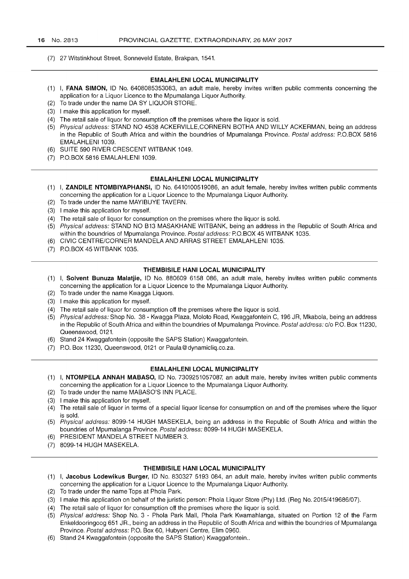(7) 27 Witstinkhout Street, Sonneveld Estate, Brakpan, 1541.

## **EMALAHLENI LOCAL MUNICIPALITY**

- (1) I, **FANA SIMON,** ID No. 6408085353083, an adult male, hereby invites written public comments concerning the application for a Liquor Licence to the Mpumalanga Liquor Authority.
- (2) To trade under the name DA SY LIQUOR STORE.
- (3) I make this application for myself.
- (4) The retail sale of liquor for consumption off the premises where the liquor is sold.
- (5) Physical address: STAND NO 4538 ACKERVILLE,CORNERN BOTHA AND WILLY ACKERMAN, being an address in the Republic of South Africa and within the boundries of Mpumalanga Province. Postal address: P.O.BOX 5816 EMALAHLENI 1039.
- (6) SUITE 590 RIVER CRESCENT WITBANK 1049.
- (7) P.O.BOX 5816 EMALAHLENI 1039.

#### **EMALAHLENI LOCAL MUNICIPALITY**

- (1) I, **ZANDILE NTOMBIYAPHANSI,** ID No. 6410100519086, an adult female, hereby invites written public comments concerning the application for a Liquor Licence to the Mpumalanga Liquor Authority.
- (2) To trade under the name MAYIBUYE TAVERN.
- (3) I make this application for myself.
- (4) The retail sale of liquor for consumption on the premises where the liquor is sold.
- (5) Physical address: STAND NO B13 MASAKHANE WITBANK, being an address in the Republic of South Africa and within the boundries of Mpumalanga Province. Postal address: P.O.BOX 45 WITBANK 1035.
- (6) CIVIC CENTRE/CORNER MANDELA AND ARRAS STREET EMALAHLENI 1035.
- (7) P.O. BOX 45 WITBANK 1035.

## **THEMBISILE HANI LOCAL MUNICIPALITY**

- (1) I, **Solvent Bunuza Malatjie,** ID No. 880609 6158 086, an adult male, hereby invites written public comments concerning the application for a Liquor Licence to the Mpumalanga Liquor Authority.
- (2) To trade under the name Kwagga Liquors.
- (3) I make this application for myself.
- (4) The retail sale of liquor for consumption off the premises where the liquor is sold.
- (5) Physical address: Shop No. 38 Kwagga Plaza, Moloto Road, Kwaggafontein C, 196 JR, Mkabola, being an address in the Republic of South Africa and within the boundries of Mpumalanga Province. Postal address: c/o P.O. Box 11230, Queenswood, 0121.
- (6) Stand 24 Kwaggafontein (opposite the SAPS Station) Kwaggafontein.
- (7) P.O. Box 11230, Queenswood, 0121 or Paula@dynamicliq.co.za.

#### **EMALAHLENI LOCAL MUNICIPALITY**

- (1) I, **NTOMPELA ANNAH MABASO,** ID No. 7309251057087, an adult male, hereby invites written public comments concerning the application for a Liquor Licence to the Mpumalanga Liquor Authority.
- (2) To trade under the name MABASO'S INN PLACE.
- (3) I make this application for myself.
- (4) The retail sale of liquor in terms of a special liquor license for consumption on and off the premises where the liquor is sold.
- (5) Physical address: 8099-14 HUGH MASEKELA, being an address in the Republic of South Africa and within the boundries of Mpumalanga Province. Postal address: 8099-14 HUGH MASEKELA.
- (6) PRESIDENT MANDELA STREET NUMBER 3.
- (7) 8099-14 HUGH MASEKELA.

#### **THEMBISILE HANI LOCAL MUNICIPALITY**

- (1) I, **Jacobus Lodewikus Burger,** ID No. 830327 5193 084, an adult male, hereby invites written public comments concerning the application for a Liquor Licence to the Mpumalanga Liquor Authority.
- (2) To trade under the name Tops at Phola Park.
- (3) I make this application on behalf of the juristic person: Phola Liquor Store (Pty) Ltd. (Reg No. 2015/419686/07).
- (4) The retail sale of liquor for consumption off the premises where the liquor is sold.
- (5) Physical address: Shop No.3 Phola Park Mall, Phola Park Kwamahlanga, situated on Portion 12 of the Farm Enkeldooringoog 651 JR., being an address in the Republic of South Africa and within the boundries of Mpumalanga Province. Postal address: PO. Box 60, Hubyeni Centre, Elim 0960.
- (6) Stand 24 Kwaggafontein (opposite the SAPS Station) Kwaggafontein ..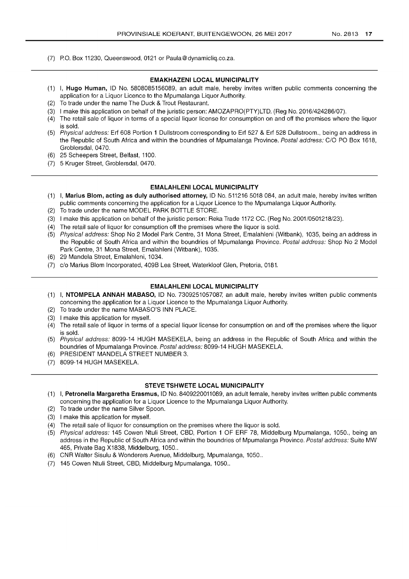(7) P.O. Box 11230, Queenswood, 0121 or Paula@dynamicliq.co.za.

#### EMAKHAZENI LOCAL MUNICIPALITY

- (1) I, Hugo Human, ID No. 5808085156089, an adult male, hereby invites written public comments concerning the application for a Liquor Licence to the Mpumalanga Liquor Authority.
- (2) To trade under the name The Duck & Trout Restaurant.
- (3) I make this application on behalf of the juristic person: AMOZAPRO(PTY)LTD. (Reg No. 2016/424286/07).
- (4) The retail sale of liquor in terms of a special liquor license for consumption on and off the premises where the liquor is sold.
- (5) Physical address: Erf 608 Portion 1 Dullstroom corresponding to Erf 527 & Erf 528 Dullstroom., being an address in the Republic of South Africa and within the boundries of Mpumalanga Province. Postal address: CIO PO Box 1618, Groblersdal, 0470.
- (6) 25 Scheepers Street, Belfast, 1100.
- (7) 5 Kruger Street, Groblersdal, 0470.

### EMALAHLENI LOCAL MUNICIPALITY

- (1) I, Marius Blom, acting as duly authorised attorney, ID No. 511216 5018 084, an adult male, hereby invites written public comments concerning the application for a Liquor Licence to the Mpumalanga Liquor Authority.
- (2) To trade under the name MODEL PARK BOTTLE STORE.
- (3) I make this application on behalf of the juristic person: Reka Trade 1172 CC. (Reg No. 2001/0501218/23).
- (4) The retail sale of liquor for consumption off the premises where the liquor is sold.
- (5) Physical address: Shop No 2 Model Park Centre, 31 Mona Street, Emalahleni (Witbank), 1035, being an address in the Republic of South Africa and within the boundries of Mpumalanga Province. Postal address: Shop No 2 Model Park Centre, 31 Mona Street, Emalahleni (Witbank), 1035.
- (6) 29 Mandela Street, Emalahleni, 1034.
- (7) c/o Marius Blom Incorporated, 409B Lea Street, Waterkloof Glen, Pretoria, 0181.

## EMALAHLENI LOCAL MUNICIPALITY

- (1) I, NTOMPELA ANNAH MABASO, ID No. 7309251057087, an adult male, hereby invites written public comments concerning the application for a Liquor Licence to the Mpumalanga Liquor Authority.
- (2) To trade under the name MABASO'S INN PLACE.
- (3) I make this application for myself.
- (4) The retail sale of liquor in terms of a special liquor license for consumption on and off the premises where the liquor is sold.
- (5) Physical address: 8099-14 HUGH MASEKELA, being an address in the Republic of South Africa and within the boundries of Mpumalanga Province. Postal address: 8099-14 HUGH MASEKELA.
- (6) PRESIDENT MANDELA STREET NUMBER 3.
- (7) 8099-14 HUGH MASEKELA.

## STEVE TSHWETE LOCAL MUNICIPALITY

- (1) I, Petronella Margaretha Erasmus, ID No. 8409220011089, an adult female, hereby invites written public comments concerning the application for a Liquor Licence to the Mpumalanga Liquor Authority.
- (2) To trade under the name Silver Spoon.
- (3) I make this application for myself.
- (4) The retail sale of liquor for consumption on the premises where the liquor is sold.
- (5) Physical address: 145 Cowen Ntuli Street, CBD, Portion 1 OF ERF 78, Middelburg Mpumalanga, 1050., being an address in the Republic of South Africa and within the boundries of Mpumalanga Province. Postal address: Suite MW 465, Private Bag X1838, Middelburg, 1050 ..
- (6) CNR Walter Sisulu & Wonderers Avenue, Middelburg, Mpumalanga, 1050 ..
- (7) 145 Cowen Ntuli Street, CBD, Middelburg Mpumalanga, 1050 ..